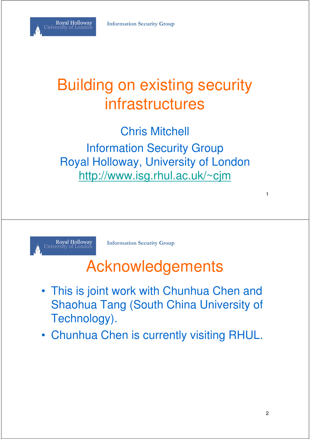

#### Building on existing security infrastructures

Chris Mitchell Information Security Group Royal Holloway, University of London http://www.isg.rhul.ac.uk/~cjm



**Information Security Group**

#### Acknowledgements

- This is joint work with Chunhua Chen and Shaohua Tang (South China University of Technology).
- Chunhua Chen is currently visiting RHUL.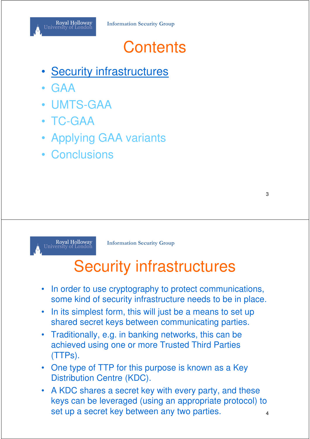- **Security infrastructures**
- GAA
- UMTS-GAA
- TC-GAA
- Applying GAA variants
- Conclusions



**Information Security Group**

# Security infrastructures

- In order to use cryptography to protect communications, some kind of security infrastructure needs to be in place.
- In its simplest form, this will just be a means to set up shared secret keys between communicating parties.
- Traditionally, e.g. in banking networks, this can be achieved using one or more Trusted Third Parties (TTPs).
- One type of TTP for this purpose is known as a Key Distribution Centre (KDC).
- A KDC shares a secret key with every party, and these keys can be leveraged (using an appropriate protocol) to set up a secret key between any two parties.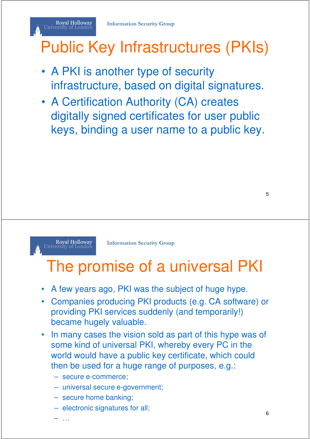# Public Key Infrastructures (PKIs)

- A PKI is another type of security infrastructure, based on digital signatures.
- A Certification Authority (CA) creates digitally signed certificates for user public keys, binding a user name to a public key.

5

Royal Holloway<br>University of London

Royal Holloway<br>University of London

**Information Security Group**

#### The promise of a universal PKI

- A few years ago, PKI was the subject of huge hype.
- Companies producing PKI products (e.g. CA software) or providing PKI services suddenly (and temporarily!) became hugely valuable.
- In many cases the vision sold as part of this hype was of some kind of universal PKI, whereby every PC in the world would have a public key certificate, which could then be used for a huge range of purposes, e.g.:
	- secure e-commerce;
	- universal secure e-government;
	- secure home banking;
	- electronic signatures for all;

– …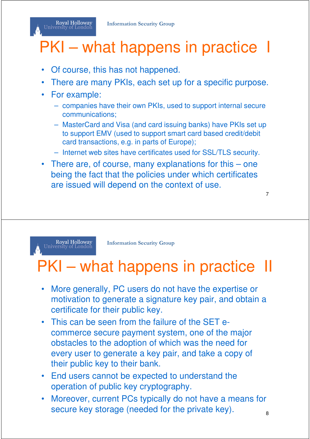#### Royal Holloway University of London

# PKI – what happens in practice I

- Of course, this has not happened.
- There are many PKIs, each set up for a specific purpose.
- For example:
	- companies have their own PKIs, used to support internal secure communications;
	- MasterCard and Visa (and card issuing banks) have PKIs set up to support EMV (used to support smart card based credit/debit card transactions, e.g. in parts of Europe);
	- Internet web sites have certificates used for SSL/TLS security.
- There are, of course, many explanations for this one being the fact that the policies under which certificates are issued will depend on the context of use.

Royal Holloway<br>University of London

**Information Security Group**

# PKI – what happens in practice II

- More generally, PC users do not have the expertise or motivation to generate a signature key pair, and obtain a certificate for their public key.
- This can be seen from the failure of the SET ecommerce secure payment system, one of the major obstacles to the adoption of which was the need for every user to generate a key pair, and take a copy of their public key to their bank.
- End users cannot be expected to understand the operation of public key cryptography.
- Moreover, current PCs typically do not have a means for secure key storage (needed for the private key).  $\frac{1}{8}$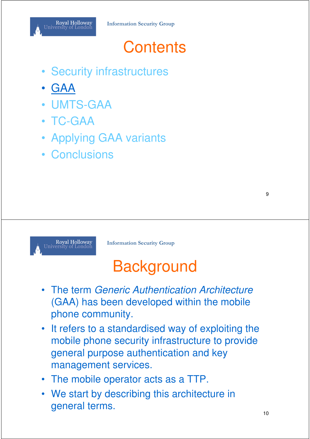- Security infrastructures
- GAA
- UMTS-GAA
- TC-GAA
- Applying GAA variants
- Conclusions



**Information Security Group**

# **Background**

- The term Generic Authentication Architecture (GAA) has been developed within the mobile phone community.
- It refers to a standardised way of exploiting the mobile phone security infrastructure to provide general purpose authentication and key management services.
- The mobile operator acts as a TTP.
- We start by describing this architecture in general terms.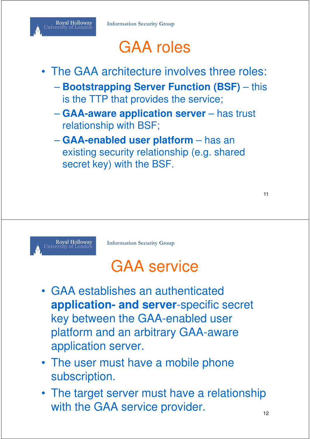

# GAA roles

- The GAA architecture involves three roles:
	- **Bootstrapping Server Function (BSF)** this is the TTP that provides the service;
	- **GAA-aware application server** has trust relationship with BSF;
	- **GAA-enabled user platform** has an existing security relationship (e.g. shared secret key) with the BSF.



**Information Security Group**

# GAA service

- GAA establishes an authenticated **application- and server**-specific secret key between the GAA-enabled user platform and an arbitrary GAA-aware application server.
- The user must have a mobile phone subscription.
- The target server must have a relationship with the GAA service provider.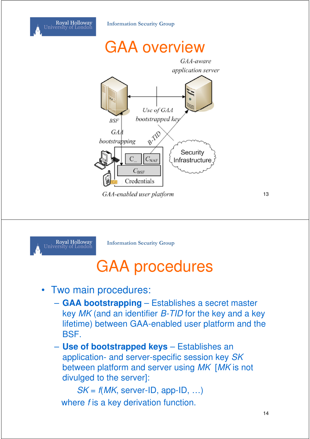





**Information Security Group**

# GAA procedures

- Two main procedures:
	- **GAA bootstrapping** Establishes a secret master key MK (and an identifier B-TID for the key and a key lifetime) between GAA-enabled user platform and the BSF.
	- **Use of bootstrapped keys** Establishes an application- and server-specific session key SK between platform and server using MK [MK is not divulged to the server]:

 $SK = f(MK, server-ID, app-ID, ...)$ where f is a key derivation function.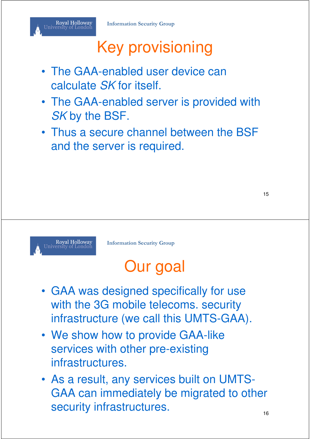# Key provisioning

- The GAA-enabled user device can calculate SK for itself.
- The GAA-enabled server is provided with SK by the BSF.
- Thus a secure channel between the BSF and the server is required.



**Information Security Group**

# Our goal

- GAA was designed specifically for use with the 3G mobile telecoms. security infrastructure (we call this UMTS-GAA).
- We show how to provide GAA-like services with other pre-existing infrastructures.
- As a result, any services built on UMTS-GAA can immediately be migrated to other security infrastructures.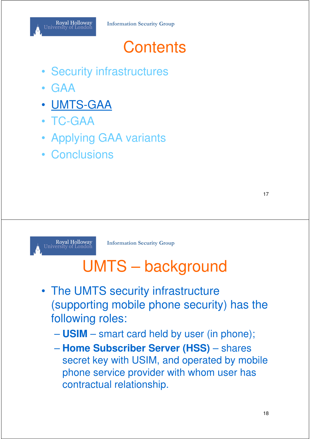- Security infrastructures
- GAA
- UMTS-GAA
- TC-GAA
- Applying GAA variants
- Conclusions



**Information Security Group**

# UMTS – background

- The UMTS security infrastructure (supporting mobile phone security) has the following roles:
	- **USIM** smart card held by user (in phone);
	- **Home Subscriber Server (HSS)** shares secret key with USIM, and operated by mobile phone service provider with whom user has contractual relationship.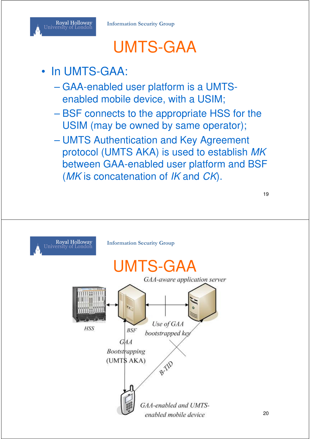

#### UMTS-GAA

#### In UMTS-GAA:

- GAA-enabled user platform is a UMTSenabled mobile device, with a USIM;
- BSF connects to the appropriate HSS for the USIM (may be owned by same operator);
- UMTS Authentication and Key Agreement protocol (UMTS AKA) is used to establish MK between GAA-enabled user platform and BSF (MK is concatenation of IK and CK).

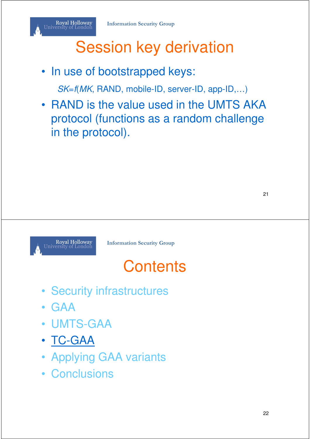#### Royal Holloway<br>University of London

# Session key derivation

• In use of bootstrapped keys:

SK=f(MK, RAND, mobile-ID, server-ID, app-ID,…)

• RAND is the value used in the UMTS AKA protocol (functions as a random challenge in the protocol).



**Information Security Group**

# **Contents**

- Security infrastructures
- GAA
- UMTS-GAA
- TC-GAA
- Applying GAA variants
- Conclusions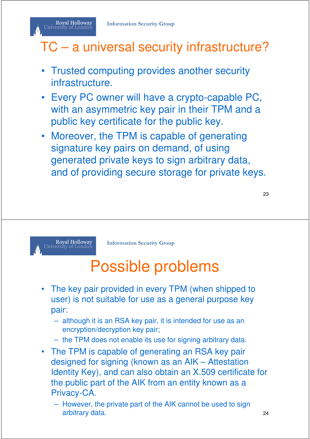#### TC – a universal security infrastructure?

- Trusted computing provides another security infrastructure.
- Every PC owner will have a crypto-capable PC, with an asymmetric key pair in their TPM and a public key certificate for the public key.
- Moreover, the TPM is capable of generating signature key pairs on demand, of using generated private keys to sign arbitrary data, and of providing secure storage for private keys.

23



Royal Holloway University of London

**Information Security Group**

# Possible problems

- The key pair provided in every TPM (when shipped to user) is not suitable for use as a general purpose key pair:
	- although it is an RSA key pair, it is intended for use as an encryption/decryption key pair;
	- the TPM does not enable its use for signing arbitrary data.
- The TPM is capable of generating an RSA key pair designed for signing (known as an AIK – Attestation Identity Key), and can also obtain an X.509 certificate for the public part of the AIK from an entity known as a Privacy-CA.
	- However, the private part of the AIK cannot be used to sign arbitrary data. 24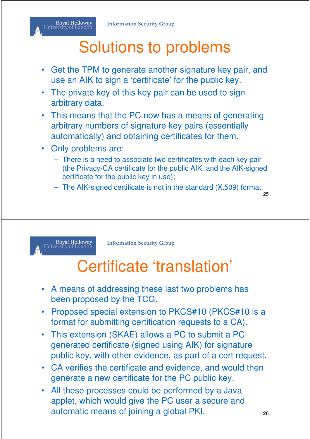#### Royal Holloway<br>University of London

# Solutions to problems

- Get the TPM to generate another signature key pair, and use an AIK to sign a 'certificate' for the public key.
- The private key of this key pair can be used to sign arbitrary data.
- This means that the PC now has a means of generating arbitrary numbers of signature key pairs (essentially automatically) and obtaining certificates for them.
- Only problems are:
	- There is a need to associate two certificates with each key pair (the Privacy-CA certificate for the public AIK, and the AIK-signed certificate for the public key in use);
	- The AIK-signed certificate is not in the standard (X.509) format.

25

Royal Holloway<br>University of London

**Information Security Group**

# Certificate 'translation'

- A means of addressing these last two problems has been proposed by the TCG.
- Proposed special extension to PKCS#10 (PKCS#10 is a format for submitting certification requests to a CA).
- This extension (SKAE) allows a PC to submit a PCgenerated certificate (signed using AIK) for signature public key, with other evidence, as part of a cert request.
- CA verifies the certificate and evidence, and would then generate a new certificate for the PC public key.
- All these processes could be performed by a Java applet, which would give the PC user a secure and automatic means of joining a global PKI.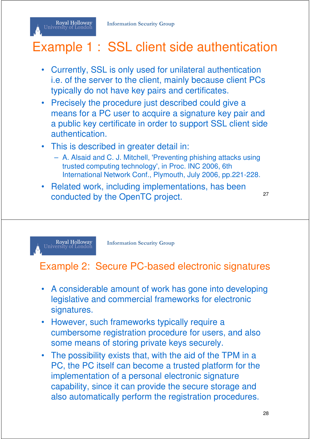#### Example 1 : SSL client side authentication

- Currently, SSL is only used for unilateral authentication i.e. of the server to the client, mainly because client PCs typically do not have key pairs and certificates.
- Precisely the procedure just described could give a means for a PC user to acquire a signature key pair and a public key certificate in order to support SSL client side authentication.
- This is described in greater detail in:
	- A. Alsaid and C. J. Mitchell, 'Preventing phishing attacks using trusted computing technology', in Proc. INC 2006, 6th International Network Conf., Plymouth, July 2006, pp.221-228.
- Related work, including implementations, has been conducted by the OpenTC project. 27

Royal Holloway<br>University of London

Royal Holloway<br>University of London

**Information Security Group**

#### Example 2: Secure PC-based electronic signatures

- A considerable amount of work has gone into developing legislative and commercial frameworks for electronic signatures.
- However, such frameworks typically require a cumbersome registration procedure for users, and also some means of storing private keys securely.
- The possibility exists that, with the aid of the TPM in a PC, the PC itself can become a trusted platform for the implementation of a personal electronic signature capability, since it can provide the secure storage and also automatically perform the registration procedures.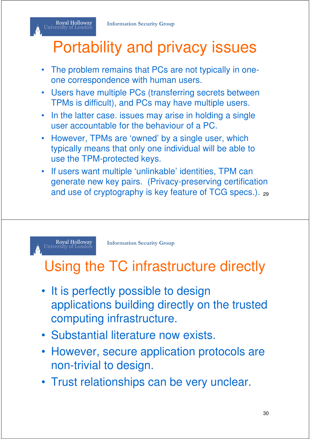# Portability and privacy issues

- The problem remains that PCs are not typically in oneone correspondence with human users.
- Users have multiple PCs (transferring secrets between TPMs is difficult), and PCs may have multiple users.
- In the latter case. issues may arise in holding a single user accountable for the behaviour of a PC.
- However, TPMs are 'owned' by a single user, which typically means that only one individual will be able to use the TPM-protected keys.
- If users want multiple 'unlinkable' identities, TPM can generate new key pairs. (Privacy-preserving certification and use of cryptography is key feature of TCG specs.). <sub>29</sub>

Royal Holloway<br>University of London

Royal Holloway<br>University of London

**Information Security Group**

#### Using the TC infrastructure directly

- It is perfectly possible to design applications building directly on the trusted computing infrastructure.
- Substantial literature now exists.
- However, secure application protocols are non-trivial to design.
- Trust relationships can be very unclear.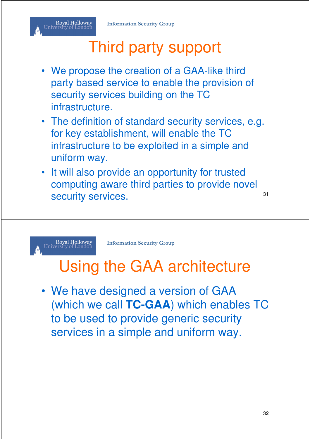# Third party support

- We propose the creation of a GAA-like third party based service to enable the provision of security services building on the TC infrastructure.
- The definition of standard security services, e.g. for key establishment, will enable the TC infrastructure to be exploited in a simple and uniform way.
- It will also provide an opportunity for trusted computing aware third parties to provide novel security services. And the security services.

Ro<mark>yal Holloway</mark><br>University of London

**Information Security Group**

# Using the GAA architecture

• We have designed a version of GAA (which we call **TC-GAA**) which enables TC to be used to provide generic security services in a simple and uniform way.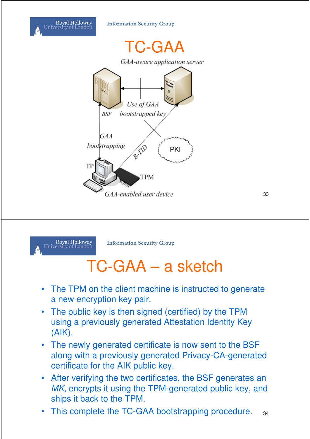



TC-GAA GAA-aware application server Use of GAA bootstrapped key **BSF** GAA BYE bootstrapping PKI TI **TPM** GAA-enabled user device



**Information Security Group**

# TC-GAA – a sketch

- The TPM on the client machine is instructed to generate a new encryption key pair.
- The public key is then signed (certified) by the TPM using a previously generated Attestation Identity Key (AIK).
- The newly generated certificate is now sent to the BSF along with a previously generated Privacy-CA-generated certificate for the AIK public key.
- After verifying the two certificates, the BSF generates an MK, encrypts it using the TPM-generated public key, and ships it back to the TPM.
- This complete the TC-GAA bootstrapping procedure. 34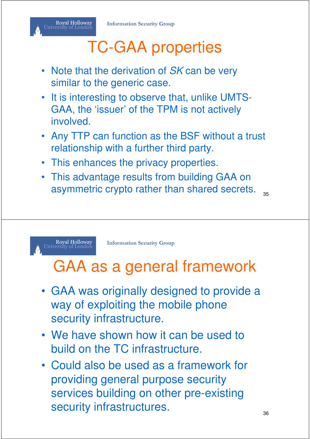# TC-GAA properties

- Note that the derivation of SK can be very similar to the generic case.
- It is interesting to observe that, unlike UMTS-GAA, the 'issuer' of the TPM is not actively **involved**
- Any TTP can function as the BSF without a trust relationship with a further third party.
- This enhances the privacy properties.
- This advantage results from building GAA on asymmetric crypto rather than shared secrets.  $_{35}$

Royal Holloway<br>University of London

**Information Security Group**

#### GAA as a general framework

- GAA was originally designed to provide a way of exploiting the mobile phone security infrastructure.
- We have shown how it can be used to build on the TC infrastructure.
- Could also be used as a framework for providing general purpose security services building on other pre-existing security infrastructures.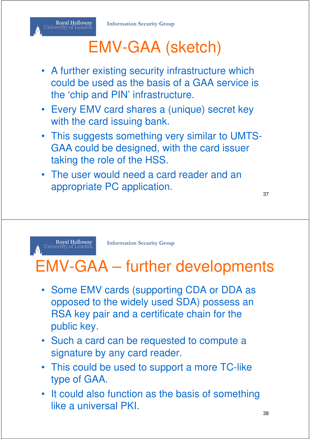#### Royal Holloway<br>University of London

# EMV-GAA (sketch)

- A further existing security infrastructure which could be used as the basis of a GAA service is the 'chip and PIN' infrastructure.
- Every EMV card shares a (unique) secret key with the card issuing bank.
- This suggests something very similar to UMTS-GAA could be designed, with the card issuer taking the role of the HSS.
- The user would need a card reader and an appropriate PC application.

37

Ro<mark>yal Holloway</mark><br>University of London

**Information Security Group**

# EMV-GAA – further developments

- Some EMV cards (supporting CDA or DDA as opposed to the widely used SDA) possess an RSA key pair and a certificate chain for the public key.
- Such a card can be requested to compute a signature by any card reader.
- This could be used to support a more TC-like type of GAA.
- It could also function as the basis of something like a universal PKI.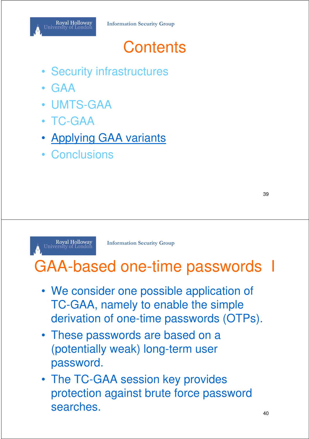- Security infrastructures
- GAA
- UMTS-GAA
- TC-GAA
- **Applying GAA variants**
- Conclusions

39

#### Royal Holloway<br>University of London

**Information Security Group**

# GAA-based one-time passwords I

- We consider one possible application of TC-GAA, namely to enable the simple derivation of one-time passwords (OTPs).
- These passwords are based on a (potentially weak) long-term user password.
- The TC-GAA session key provides protection against brute force password searches.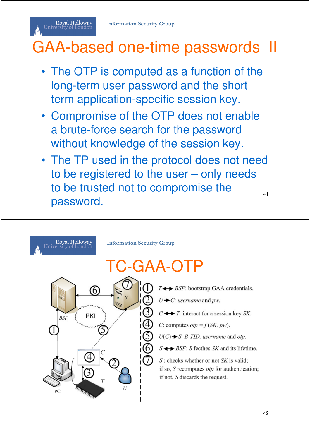Royal Holloway University of London

# GAA-based one-time passwords II

- The OTP is computed as a function of the long-term user password and the short term application-specific session key.
- Compromise of the OTP does not enable a brute-force search for the password without knowledge of the session key.
- The TP used in the protocol does not need to be registered to the user – only needs to be trusted not to compromise the password. 41

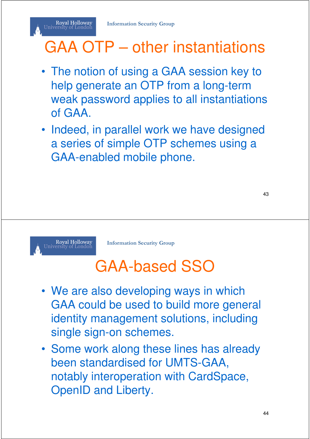# GAA OTP – other instantiations

- The notion of using a GAA session key to help generate an OTP from a long-term weak password applies to all instantiations of GAA.
- Indeed, in parallel work we have designed a series of simple OTP schemes using a GAA-enabled mobile phone.



Royal Holloway<br>University of London

**Information Security Group**

# GAA-based SSO

- We are also developing ways in which GAA could be used to build more general identity management solutions, including single sign-on schemes.
- Some work along these lines has already been standardised for UMTS-GAA, notably interoperation with CardSpace, OpenID and Liberty.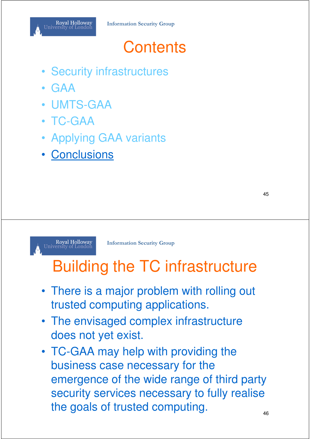- Security infrastructures
- GAA
- UMTS-GAA
- TC-GAA
- Applying GAA variants
- Conclusions

45



**Information Security Group**

# Building the TC infrastructure

- There is a major problem with rolling out trusted computing applications.
- The envisaged complex infrastructure does not yet exist.
- TC-GAA may help with providing the business case necessary for the emergence of the wide range of third party security services necessary to fully realise the goals of trusted computing.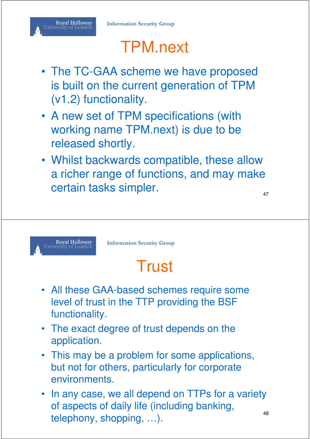Royal Holloway<br>University of London

# TPM.next

- The TC-GAA scheme we have proposed is built on the current generation of TPM (v1.2) functionality.
- A new set of TPM specifications (with working name TPM.next) is due to be released shortly.
- Whilst backwards compatible, these allow a richer range of functions, and may make certain tasks simpler.

47



**Information Security Group**

# **Trust**

- All these GAA-based schemes require some level of trust in the TTP providing the BSF functionality.
- The exact degree of trust depends on the application.
- This may be a problem for some applications, but not for others, particularly for corporate environments.
- In any case, we all depend on TTPs for a variety of aspects of daily life (including banking, telephony, shopping, ...).